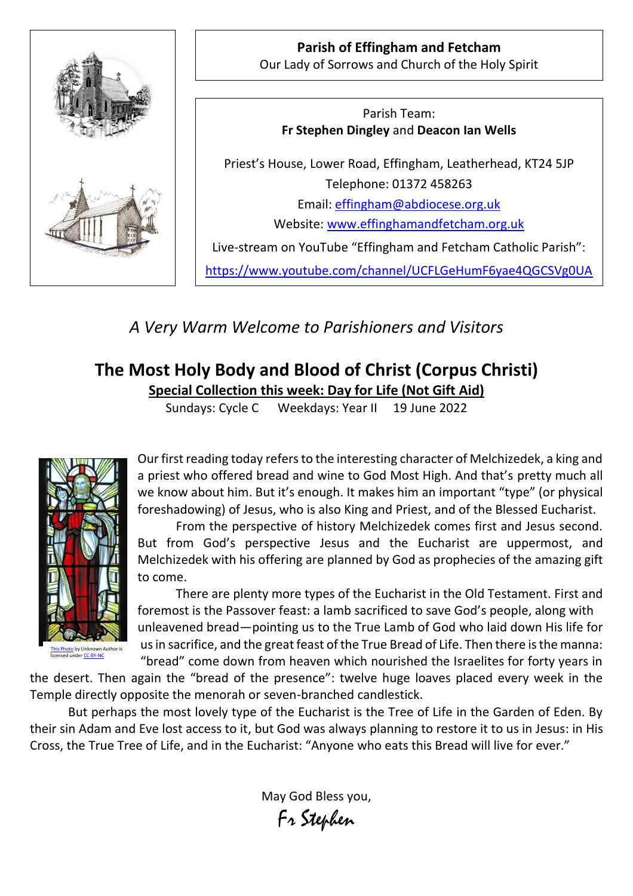

**Parish of Effingham and Fetcham** Our Lady of Sorrows and Church of the Holy Spirit

Parish Team: **Fr Stephen Dingley** and **Deacon Ian Wells**

Priest's House, Lower Road, Effingham, Leatherhead, KT24 5JP Telephone: 01372 458263 Email: [effingham@abdiocese.org.uk](mailto:effingham@abdiocese.org.uk) Website: [www.effinghamandfetcham.org.uk](http://www.effinghamandfetcham.org.uk/)

Live-stream on YouTube "Effingham and Fetcham Catholic Parish":

<https://www.youtube.com/channel/UCFLGeHumF6yae4QGCSVg0UA>

*A Very Warm Welcome to Parishioners and Visitors*

# **The Most Holy Body and Blood of Christ (Corpus Christi)**

**Special Collection this week: Day for Life (Not Gift Aid)**

Sundays: Cycle C Weekdays: Year II 19 June 2022



<mark>to</mark> by Unknown Author is unde[r CC BY-NC](https://creativecommons.org/licenses/by-nc/3.0/)

Our first reading today refers to the interesting character of Melchizedek, a king and a priest who offered bread and wine to God Most High. And that's pretty much all we know about him. But it's enough. It makes him an important "type" (or physical foreshadowing) of Jesus, who is also King and Priest, and of the Blessed Eucharist.

From the perspective of history Melchizedek comes first and Jesus second. But from God's perspective Jesus and the Eucharist are uppermost, and Melchizedek with his offering are planned by God as prophecies of the amazing gift to come.

There are plenty more types of the Eucharist in the Old Testament. First and foremost is the Passover feast: a lamb sacrificed to save God's people, along with unleavened bread—pointing us to the True Lamb of God who laid down His life for us in sacrifice, and the great feast of the True Bread of Life. Then there is the manna: "bread" come down from heaven which nourished the Israelites for forty years in

the desert. Then again the "bread of the presence": twelve huge loaves placed every week in the Temple directly opposite the menorah or seven-branched candlestick.

But perhaps the most lovely type of the Eucharist is the Tree of Life in the Garden of Eden. By their sin Adam and Eve lost access to it, but God was always planning to restore it to us in Jesus: in His Cross, the True Tree of Life, and in the Eucharist: "Anyone who eats this Bread will live for ever."

> May God Bless you, Fr Stephen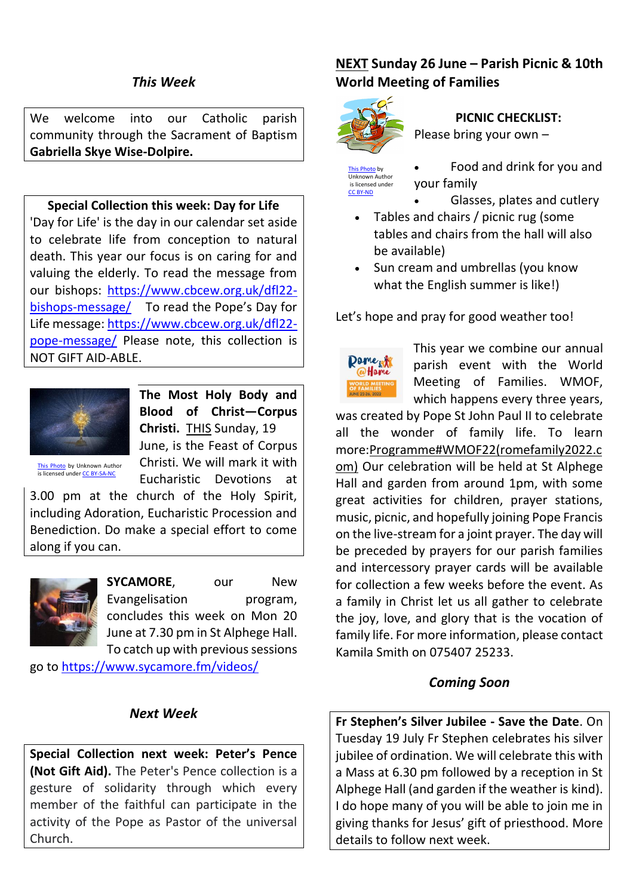We welcome into our Catholic parish community through the Sacrament of Baptism **Gabriella Skye Wise-Dolpire.**

### **Special Collection this week: Day for Life**

'Day for Life' is the day in our calendar set aside to celebrate life from conception to natural death. This year our focus is on caring for and valuing the elderly. To read the message from our bishops: [https://www.cbcew.org.uk/dfl22](https://www.cbcew.org.uk/dfl22-bishops-message/) [bishops-message/](https://www.cbcew.org.uk/dfl22-bishops-message/) To read the Pope's Day for Life message: [https://www.cbcew.org.uk/dfl22](https://www.cbcew.org.uk/dfl22-pope-message/) [pope-message/](https://www.cbcew.org.uk/dfl22-pope-message/) Please note, this collection is NOT GIFT AID-ABLE.



**The Most Holy Body and Blood of Christ—Corpus Christi.** THIS Sunday, 19 June, is the Feast of Corpus Christi. We will mark it with Eucharistic Devotions at

o by Unknown Author is licensed unde[r CC BY-SA-NC](https://creativecommons.org/licenses/by-nc-sa/3.0/)

3.00 pm at the church of the Holy Spirit, including Adoration, Eucharistic Procession and Benediction. Do make a special effort to come along if you can.



**SYCAMORE**, our New Evangelisation program, concludes this week on Mon 20 June at 7.30 pm in St Alphege Hall. To catch up with previous sessions

go to<https://www.sycamore.fm/videos/>

### *Next Week*

**Special Collection next week: Peter's Pence (Not Gift Aid).** The Peter's Pence collection is a gesture of solidarity through which every member of the faithful can participate in the activity of the Pope as Pastor of the universal Church.

### **NEXT Sunday 26 June – Parish Picnic & 10th World Meeting of Families**



## **PICNIC CHECKLIST:**

Please bring your own –

[This Photo](https://milkmilano.blogspot.com/2009/05/in-cucina-con-milk-il-picnic.html) by Unknown Author is licensed under [CC BY-ND](https://creativecommons.org/licenses/by-nd/3.0/)

your family

• Food and drink for you and

- Glasses, plates and cutlery
- Tables and chairs / picnic rug (some tables and chairs from the hall will also be available)
- Sun cream and umbrellas (you know what the English summer is like!)

Let's hope and pray for good weather too!



This year we combine our annual parish event with the World Meeting of Families. WMOF, which happens every three years,

was created by Pope St John Paul II to celebrate all the wonder of family life. To learn more[:Programme#WMOF22\(romefamily2022.c](https://eur02.safelinks.protection.outlook.com/?url=https%3A%2F%2Fwww.romefamily2022.com%2Fen%2Fprogramma%2F&data=05%7C01%7Ceffingham%40abdiocese.org.uk%7Ce94099a08c7c41ca56bb08da3379b12b%7C2bf5dbc217ef4efca1c9ab2dc4edefd0%7C0%7C0%7C637878894997229084%7CUnknown%7CTWFpbGZsb3d8eyJWIjoiMC4wLjAwMDAiLCJQIjoiV2luMzIiLCJBTiI6Ik1haWwiLCJXVCI6Mn0%3D%7C3000%7C%7C%7C&sdata=pdnaYpc%2B3LtusaM5sz6cSNaaDjG51WJ5v1t%2Bw%2FzuqW4%3D&reserved=0) [om\)](https://eur02.safelinks.protection.outlook.com/?url=https%3A%2F%2Fwww.romefamily2022.com%2Fen%2Fprogramma%2F&data=05%7C01%7Ceffingham%40abdiocese.org.uk%7Ce94099a08c7c41ca56bb08da3379b12b%7C2bf5dbc217ef4efca1c9ab2dc4edefd0%7C0%7C0%7C637878894997229084%7CUnknown%7CTWFpbGZsb3d8eyJWIjoiMC4wLjAwMDAiLCJQIjoiV2luMzIiLCJBTiI6Ik1haWwiLCJXVCI6Mn0%3D%7C3000%7C%7C%7C&sdata=pdnaYpc%2B3LtusaM5sz6cSNaaDjG51WJ5v1t%2Bw%2FzuqW4%3D&reserved=0) Our celebration will be held at St Alphege Hall and garden from around 1pm, with some great activities for children, prayer stations, music, picnic, and hopefully joining Pope Francis on the live-stream for a joint prayer. The day will be preceded by prayers for our parish families and intercessory prayer cards will be available for collection a few weeks before the event. As a family in Christ let us all gather to celebrate the joy, love, and glory that is the vocation of family life. For more information, please contact Kamila Smith on 075407 25233.

### *Coming Soon*

**Fr Stephen's Silver Jubilee - Save the Date**. On Tuesday 19 July Fr Stephen celebrates his silver jubilee of ordination. We will celebrate this with a Mass at 6.30 pm followed by a reception in St Alphege Hall (and garden if the weather is kind). I do hope many of you will be able to join me in giving thanks for Jesus' gift of priesthood. More details to follow next week.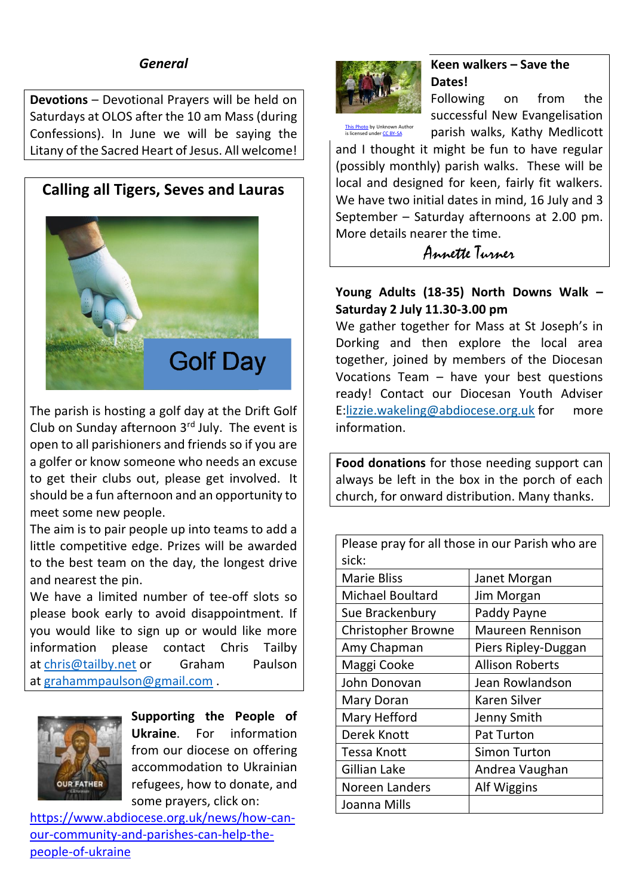### *General*

**Devotions** – Devotional Prayers will be held on Saturdays at OLOS after the 10 am Mass (during Confessions). In June we will be saying the Litany of the Sacred Heart of Jesus. All welcome!

### **Calling all Tigers, Seves and Lauras**



The parish is hosting a golf day at the Drift Golf Club on Sunday afternoon  $3<sup>rd</sup>$  July. The event is open to all parishioners and friends so if you are a golfer or know someone who needs an excuse to get their clubs out, please get involved. It should be a fun afternoon and an opportunity to meet some new people.

The aim is to pair people up into teams to add a little competitive edge. Prizes will be awarded to the best team on the day, the longest drive and nearest the pin.

We have a limited number of tee-off slots so please book early to avoid disappointment. If you would like to sign up or would like more information please contact Chris Tailby at [chris@tailby.net](mailto:chris@tailby.net) or Graham Paulson at [grahammpaulson@gmail.com](mailto:grahammpaulson@gmail.com) .



**Supporting the People of Ukraine**. For information from our diocese on offering accommodation to Ukrainian refugees, how to donate, and some prayers, click on:

[https://www.abdiocese.org.uk/news/how-can](https://www.abdiocese.org.uk/news/how-can-our-community-and-parishes-can-help-the-people-of-ukraine)[our-community-and-parishes-can-help-the](https://www.abdiocese.org.uk/news/how-can-our-community-and-parishes-can-help-the-people-of-ukraine)[people-of-ukraine](https://www.abdiocese.org.uk/news/how-can-our-community-and-parishes-can-help-the-people-of-ukraine)



### **Keen walkers – Save the Dates!**

<mark>[This Photo](https://www.merseyforest.org.uk/news/?pg=3)</mark> by Unknown Author<br>is licensed under <mark>CC BY-SA</mark>

Following on from the successful New Evangelisation parish walks, Kathy Medlicott

and I thought it might be fun to have regular (possibly monthly) parish walks. These will be local and designed for keen, fairly fit walkers. We have two initial dates in mind, 16 July and 3 September – Saturday afternoons at 2.00 pm. More details nearer the time.

Annette Turner

#### **Young Adults (18-35) North Downs Walk – Saturday 2 July 11.30-3.00 pm**

We gather together for Mass at St Joseph's in Dorking and then explore the local area together, joined by members of the Diocesan Vocations Team – have your best questions ready! Contact our Diocesan Youth Adviser E[:lizzie.wakeling@abdiocese.org.uk](mailto:lizzie.wakeling@abdiocese.org.uk) for more information.

**Food donations** for those needing support can always be left in the box in the porch of each church, for onward distribution. Many thanks.

Please pray for all those in our Parish who are sick:

| いいい                       |                        |
|---------------------------|------------------------|
| <b>Marie Bliss</b>        | Janet Morgan           |
| <b>Michael Boultard</b>   | Jim Morgan             |
| Sue Brackenbury           | Paddy Payne            |
| <b>Christopher Browne</b> | Maureen Rennison       |
| Amy Chapman               | Piers Ripley-Duggan    |
| Maggi Cooke               | <b>Allison Roberts</b> |
| John Donovan              | Jean Rowlandson        |
| Mary Doran                | Karen Silver           |
| Mary Hefford              | Jenny Smith            |
| Derek Knott               | <b>Pat Turton</b>      |
| <b>Tessa Knott</b>        | <b>Simon Turton</b>    |
| Gillian Lake              | Andrea Vaughan         |
| Noreen Landers            | Alf Wiggins            |
| Joanna Mills              |                        |